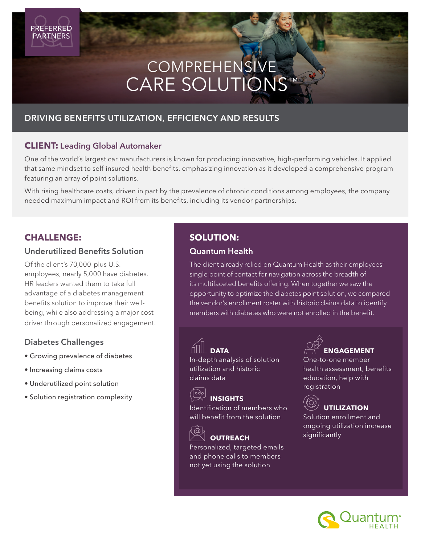# CARE SOLUTIONS™ COMPREHENSIVE

## DRIVING BENEFITS UTILIZATION, EFFICIENCY AND RESULTS

## **CLIENT:** Leading Global Automaker

One of the world's largest car manufacturers is known for producing innovative, high-performing vehicles. It applied that same mindset to self-insured health benefits, emphasizing innovation as it developed a comprehensive program featuring an array of point solutions.

With rising healthcare costs, driven in part by the prevalence of chronic conditions among employees, the company needed maximum impact and ROI from its benefits, including its vendor partnerships.

## **CHALLENGE:**

### Underutilized Benefits Solution

Of the client's 70,000-plus U.S. employees, nearly 5,000 have diabetes. HR leaders wanted them to take full advantage of a diabetes management benefits solution to improve their wellbeing, while also addressing a major cost driver through personalized engagement.

## Diabetes Challenges

- Growing prevalence of diabetes
- Increasing claims costs
- Underutilized point solution
- Solution registration complexity

## **SOLUTION:**

## Quantum Health

The client already relied on Quantum Health as their employees' single point of contact for navigation across the breadth of its multifaceted benefits offering. When together we saw the opportunity to optimize the diabetes point solution, we compared the vendor's enrollment roster with historic claims data to identify members with diabetes who were not enrolled in the benefit.



# **DATA**

In-depth analysis of solution utilization and historic claims data

## **INSIGHTS**

Identification of members who will benefit from the solution



## **OUTREACH**

Personalized, targeted emails and phone calls to members not yet using the solution

# **ENGAGEMENT**

One-to-one member health assessment, benefits education, help with registration



Solution enrollment and ongoing utilization increase significantly